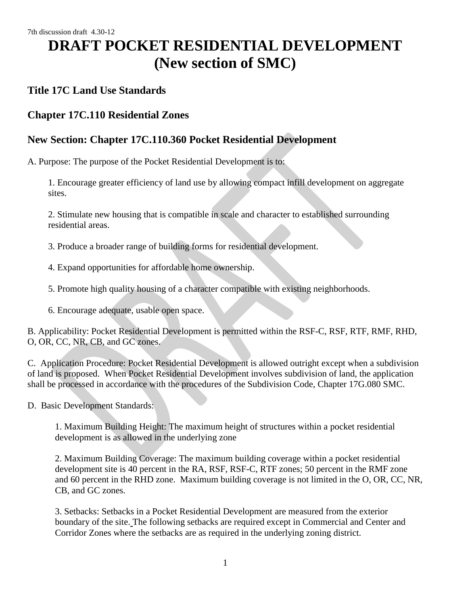# **DRAFT POCKET RESIDENTIAL DEVELOPMENT (New section of SMC)**

# **Title 17C Land Use Standards**

# **Chapter 17C.110 Residential Zones**

# **New Section: Chapter 17C.110.360 Pocket Residential Development**

A. Purpose: The purpose of the Pocket Residential Development is to:

1. Encourage greater efficiency of land use by allowing compact infill development on aggregate sites.

2. Stimulate new housing that is compatible in scale and character to established surrounding residential areas.

3. Produce a broader range of building forms for residential development.

4. Expand opportunities for affordable home ownership.

5. Promote high quality housing of a character compatible with existing neighborhoods.

6. Encourage adequate, usable open space.

B. Applicability: Pocket Residential Development is permitted within the RSF-C, RSF, RTF, RMF, RHD, O, OR, CC, NR, CB, and GC zones.

C. Application Procedure: Pocket Residential Development is allowed outright except when a subdivision of land is proposed. When Pocket Residential Development involves subdivision of land, the application shall be processed in accordance with the procedures of the Subdivision Code, Chapter 17G.080 SMC.

D. Basic Development Standards:

1. Maximum Building Height: The maximum height of structures within a pocket residential development is as allowed in the underlying zone

2. Maximum Building Coverage: The maximum building coverage within a pocket residential development site is 40 percent in the RA, RSF, RSF-C, RTF zones; 50 percent in the RMF zone and 60 percent in the RHD zone. Maximum building coverage is not limited in the O, OR, CC, NR, CB, and GC zones.

3. Setbacks: Setbacks in a Pocket Residential Development are measured from the exterior boundary of the site. The following setbacks are required except in Commercial and Center and Corridor Zones where the setbacks are as required in the underlying zoning district.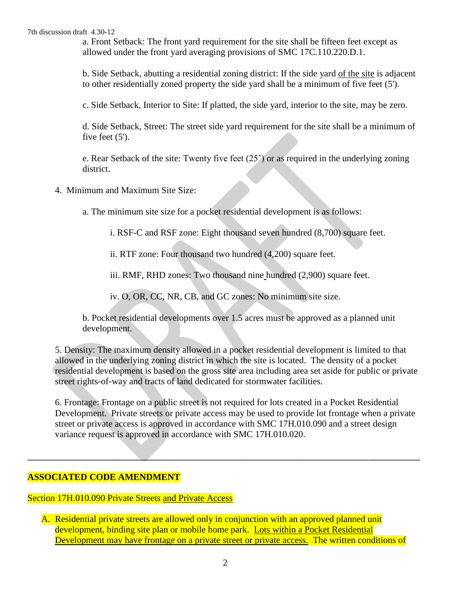a. Front Setback: The front yard requirement for the site shall be fifteen feet except as allowed under the front yard averaging provisions of SMC 17C.110.220.D.1.

b. Side Setback, abutting a residential zoning district: If the side yard of the site is adjacent to other residentially zoned property the side yard shall be a minimum of five feet (5').

c. Side Setback, Interior to Site: If platted, the side yard, interior to the site, may be zero.

d. Side Setback, Street: The street side yard requirement for the site shall be a minimum of five feet (5').

e. Rear Setback of the site: Twenty five feet (25') or as required in the underlying zoning district.

4. Minimum and Maximum Site Size:

a. The minimum site size for a pocket residential development is as follows:

i. RSF-C and RSF zone: Eight thousand seven hundred (8,700) square feet.

ii. RTF zone: Four thousand two hundred (4,200) square feet.

iii. RMF, RHD zones: Two thousand nine hundred (2,900) square feet.

iv. O, OR, CC, NR, CB, and GC zones: No minimum site size.

b. Pocket residential developments over 1.5 acres must be approved as a planned unit development.

5. Density: The maximum density allowed in a pocket residential development is limited to that allowed in the underlying zoning district in which the site is located. The density of a pocket residential development is based on the gross site area including area set aside for public or private street rights-of-way and tracts of land dedicated for stormwater facilities.

6. Frontage: Frontage on a public street is not required for lots created in a Pocket Residential Development. Private streets or private access may be used to provide lot frontage when a private street or private access is approved in accordance with SMC 17H.010.090 and a street design variance request is approved in accordance with SMC 17H.010.020.

## **ASSOCIATED CODE AMENDMENT**

Section 17H.010.090 Private Streets and Private Access

A. Residential private streets are allowed only in conjunction with an approved planned unit development, binding site plan or mobile home park. Lots within a Pocket Residential Development may have frontage on a private street or private access. The written conditions of

\_\_\_\_\_\_\_\_\_\_\_\_\_\_\_\_\_\_\_\_\_\_\_\_\_\_\_\_\_\_\_\_\_\_\_\_\_\_\_\_\_\_\_\_\_\_\_\_\_\_\_\_\_\_\_\_\_\_\_\_\_\_\_\_\_\_\_\_\_\_\_\_\_\_\_\_\_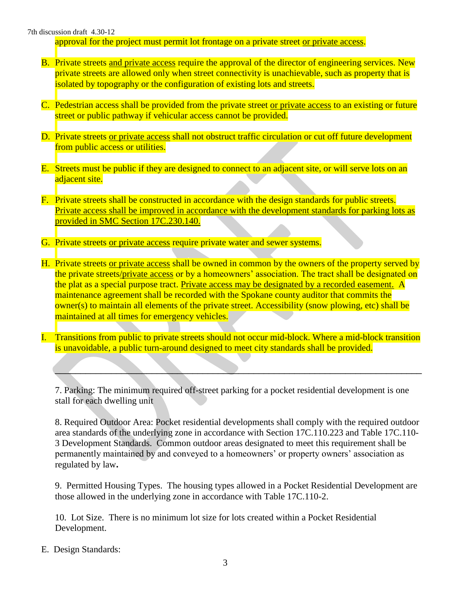approval for the project must permit lot frontage on a private street or private access.

- B. Private streets and private access require the approval of the director of engineering services. New private streets are allowed only when street connectivity is unachievable, such as property that is isolated by topography or the configuration of existing lots and streets.
- C. Pedestrian access shall be provided from the private street or private access to an existing or future street or public pathway if vehicular access cannot be provided.
- D. Private streets or private access shall not obstruct traffic circulation or cut off future development from public access or utilities.
- E. Streets must be public if they are designed to connect to an adjacent site, or will serve lots on an adjacent site.
- F. Private streets shall be constructed in accordance with the design standards for public streets. Private access shall be improved in accordance with the development standards for parking lots as provided in SMC Section 17C.230.140.
- G. Private streets or private access require private water and sewer systems.
- H. Private streets or private access shall be owned in common by the owners of the property served by the private streets/private access or by a homeowners' association. The tract shall be designated on the plat as a special purpose tract. Private access may be designated by a recorded easement. A maintenance agreement shall be recorded with the Spokane county auditor that commits the owner(s) to maintain all elements of the private street. Accessibility (snow plowing, etc) shall be maintained at all times for emergency vehicles.
- I. Transitions from public to private streets should not occur mid-block. Where a mid-block transition is unavoidable, a public turn-around designed to meet city standards shall be provided.

7. Parking: The minimum required off-street parking for a pocket residential development is one stall for each dwelling unit

 $\mathcal{L}_\mathcal{L}$  , and the set of the set of the set of the set of the set of the set of the set of the set of the set of the set of the set of the set of the set of the set of the set of the set of the set of the set of th

8. Required Outdoor Area: Pocket residential developments shall comply with the required outdoor area standards of the underlying zone in accordance with Section 17C.110.223 and Table 17C.110- 3 Development Standards. Common outdoor areas designated to meet this requirement shall be permanently maintained by and conveyed to a homeowners' or property owners' association as regulated by law**.**

9. Permitted Housing Types. The housing types allowed in a Pocket Residential Development are those allowed in the underlying zone in accordance with Table 17C.110-2.

10. Lot Size. There is no minimum lot size for lots created within a Pocket Residential Development.

E. Design Standards: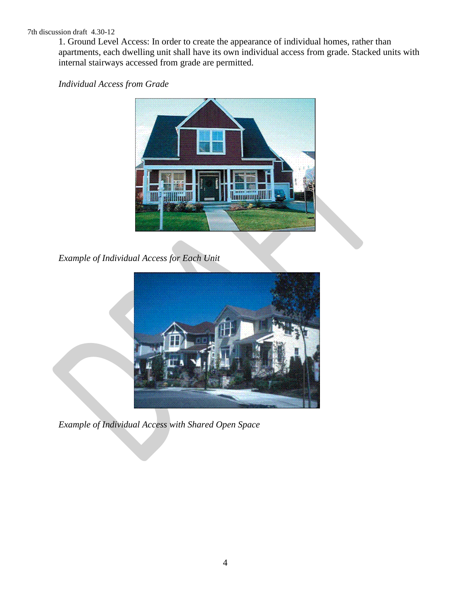#### 7th discussion draft 4.30-12

1. Ground Level Access: In order to create the appearance of individual homes, rather than apartments, each dwelling unit shall have its own individual access from grade. Stacked units with internal stairways accessed from grade are permitted.

### *Individual Access from Grade*



*Example of Individual Access for Each Unit* 



*Example of Individual Access with Shared Open Space*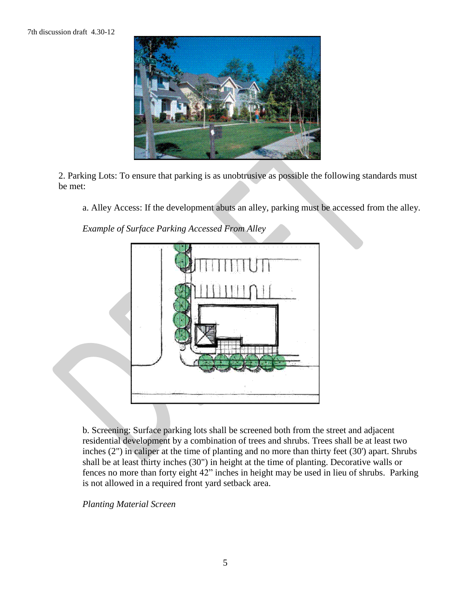

2. Parking Lots: To ensure that parking is as unobtrusive as possible the following standards must be met:

a. Alley Access: If the development abuts an alley, parking must be accessed from the alley.



*Example of Surface Parking Accessed From Alley* 

b. Screening: Surface parking lots shall be screened both from the street and adjacent residential development by a combination of trees and shrubs. Trees shall be at least two inches (2") in caliper at the time of planting and no more than thirty feet (30') apart. Shrubs shall be at least thirty inches (30") in height at the time of planting. Decorative walls or fences no more than forty eight 42" inches in height may be used in lieu of shrubs. Parking is not allowed in a required front yard setback area.

*Planting Material Screen*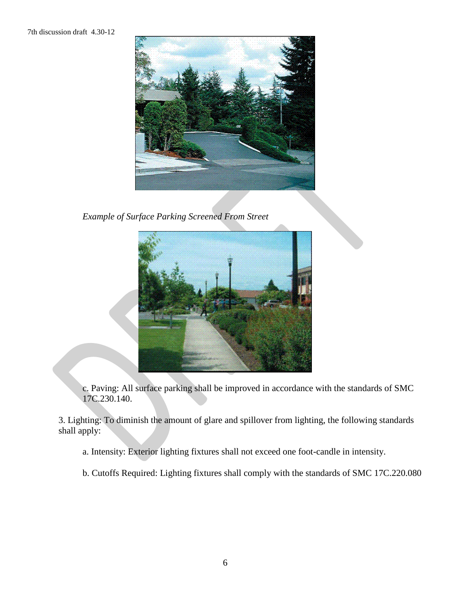#### 7th discussion draft 4.30-12



*Example of Surface Parking Screened From Street* 



c. Paving: All surface parking shall be improved in accordance with the standards of SMC 17C.230.140.

3. Lighting: To diminish the amount of glare and spillover from lighting, the following standards shall apply:

- a. Intensity: Exterior lighting fixtures shall not exceed one foot-candle in intensity.
- b. Cutoffs Required: Lighting fixtures shall comply with the standards of SMC 17C.220.080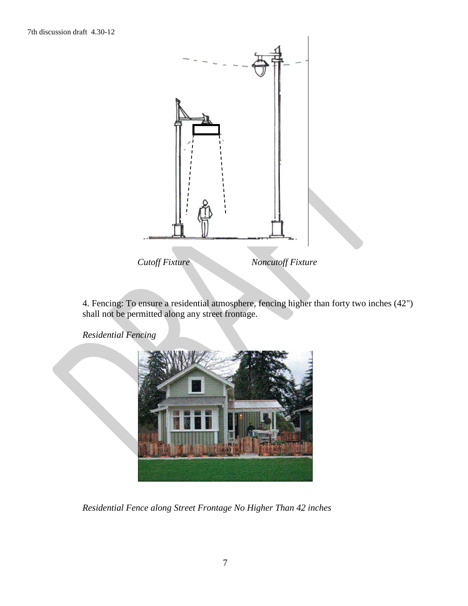

4. Fencing: To ensure a residential atmosphere, fencing higher than forty two inches (42") shall not be permitted along any street frontage.



*Residential Fencing* 

*Residential Fence along Street Frontage No Higher Than 42 inches*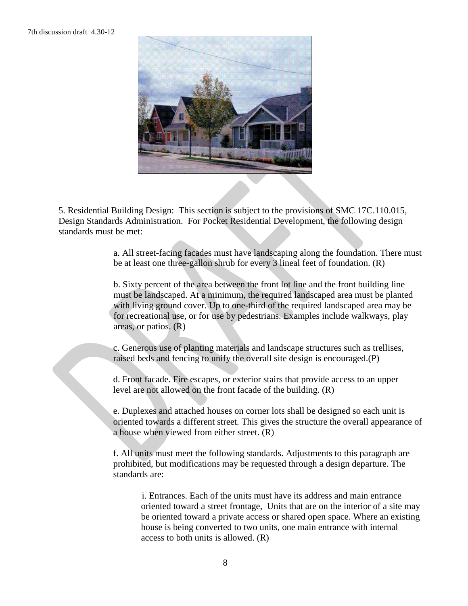

5. Residential Building Design: This section is subject to the provisions of SMC 17C.110.015, Design Standards Administration. For Pocket Residential Development, the following design standards must be met:

> a. All street-facing facades must have landscaping along the foundation. There must be at least one three-gallon shrub for every 3 lineal feet of foundation. (R)

b. Sixty percent of the area between the front lot line and the front building line must be landscaped. At a minimum, the required landscaped area must be planted with living ground cover. Up to one-third of the required landscaped area may be for recreational use, or for use by pedestrians. Examples include walkways, play areas, or patios. (R)

c. Generous use of planting materials and landscape structures such as trellises, raised beds and fencing to unify the overall site design is encouraged.(P)

d. Front facade. Fire escapes, or exterior stairs that provide access to an upper level are not allowed on the front facade of the building. (R)

e. Duplexes and attached houses on corner lots shall be designed so each unit is oriented towards a different street. This gives the structure the overall appearance of a house when viewed from either street. (R)

f. All units must meet the following standards. Adjustments to this paragraph are prohibited, but modifications may be requested through a design departure. The standards are:

i. Entrances. Each of the units must have its address and main entrance oriented toward a street frontage, Units that are on the interior of a site may be oriented toward a private access or shared open space. Where an existing house is being converted to two units, one main entrance with internal access to both units is allowed. (R)